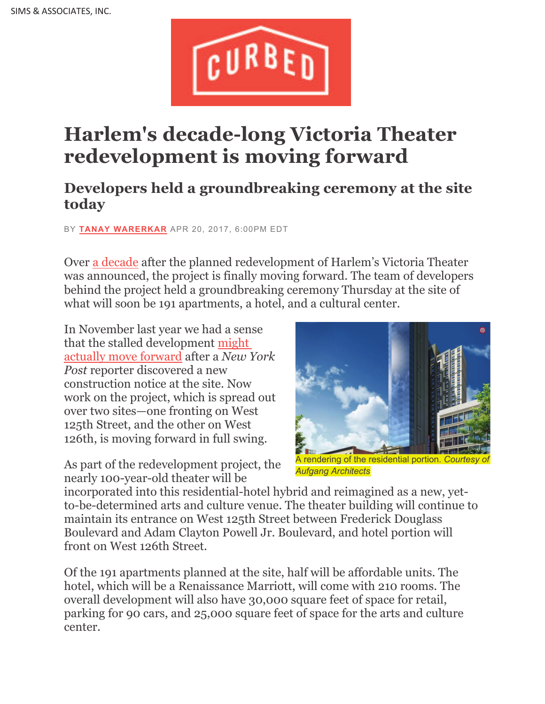

## **Harlem's decade-long Victoria Theater redevelopment is moving forward**

## **Developers held a groundbreaking ceremony at the site today**

BY **TANAY WARERKAR** APR 20, 2017, 6:00PM EDT

Over a decade after the planned redevelopment of Harlem's Victoria Theater was announced, the project is finally moving forward. The team of developers behind the project held a groundbreaking ceremony Thursday at the site of what will soon be 191 apartments, a hotel, and a cultural center.

In November last year we had a sense that the stalled development might actually move forward after a *New York Post* reporter discovered a new construction notice at the site. Now work on the project, which is spread out over two sites—one fronting on West 125th Street, and the other on West 126th, is moving forward in full swing.

As part of the redevelopment project, the nearly 100-year-old theater will be



A rendering of the residential portion. C *Aufgang Architects*

incorporated into this residential-hotel hybrid and reimagined as a new, yetto-be-determined arts and culture venue. The theater building will continue to maintain its entrance on West 125th Street between Frederick Douglass Boulevard and Adam Clayton Powell Jr. Boulevard, and hotel portion will front on West 126th Street.

Of the 191 apartments planned at the site, half will be affordable units. The hotel, which will be a Renaissance Marriott, will come with 210 rooms. The overall development will also have 30,000 square feet of space for retail, parking for 90 cars, and 25,000 square feet of space for the arts and culture center.